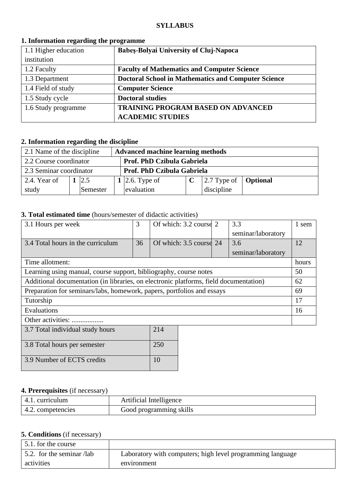#### **SYLLABUS**

| 1.1 Higher education | Babeș-Bolyai University of Cluj-Napoca                     |
|----------------------|------------------------------------------------------------|
| institution          |                                                            |
| 1.2 Faculty          | <b>Faculty of Mathematics and Computer Science</b>         |
| 1.3 Department       | <b>Doctoral School in Mathematics and Computer Science</b> |
| 1.4 Field of study   | <b>Computer Science</b>                                    |
| 1.5 Study cycle      | <b>Doctoral studies</b>                                    |
| 1.6 Study programme  | <b>TRAINING PROGRAM BASED ON ADVANCED</b>                  |
|                      | <b>ACADEMIC STUDIES</b>                                    |

#### **1. Information regarding the programme**

# **2. Information regarding the discipline**

| 2.1 Name of the discipline<br><b>Advanced machine learning methods</b> |  |          |  |                |  |                                             |  |
|------------------------------------------------------------------------|--|----------|--|----------------|--|---------------------------------------------|--|
| 2.2 Course coordinator<br>Prof. PhD Czibula Gabriela                   |  |          |  |                |  |                                             |  |
| 2.3 Seminar coordinator<br>Prof. PhD Czibula Gabriela                  |  |          |  |                |  |                                             |  |
| 2.4. Year of                                                           |  | 2.5      |  | 1 2.6. Type of |  | $\vert$ 2.7 Type of $\vert$ <b>Optional</b> |  |
| study                                                                  |  | Semester |  | evaluation     |  | discipline                                  |  |

## **3. Total estimated time** (hours/semester of didactic activities)

| 3.1 Hours per week                                                                    | 3  | Of which: 3.2 course 2  |  | 3.3                | 1 sem |
|---------------------------------------------------------------------------------------|----|-------------------------|--|--------------------|-------|
|                                                                                       |    |                         |  | seminar/laboratory |       |
| 3.4 Total hours in the curriculum                                                     | 36 | Of which: 3.5 course 24 |  | 3.6                | 12    |
|                                                                                       |    |                         |  | seminar/laboratory |       |
| Time allotment:                                                                       |    |                         |  |                    | hours |
| Learning using manual, course support, bibliography, course notes                     |    |                         |  |                    | 50    |
| Additional documentation (in libraries, on electronic platforms, field documentation) |    |                         |  |                    | 62    |
| Preparation for seminars/labs, homework, papers, portfolios and essays                |    |                         |  |                    | 69    |
| Tutorship                                                                             |    |                         |  |                    |       |
| Evaluations                                                                           |    |                         |  |                    | 16    |
| Other activities:                                                                     |    |                         |  |                    |       |
| 214<br>3.7 Total individual study hours                                               |    |                         |  |                    |       |

| 3.7 TOtal murvidual study nours | 214 |
|---------------------------------|-----|
| 3.8 Total hours per semester    | 250 |
| 3.9 Number of ECTS credits      |     |

## **4. Prerequisites** (if necessary)

| 4.1. curriculum   | Artificial Intelligence |
|-------------------|-------------------------|
| 4.2. competencies | Good programming skills |

## **5. Conditions** (if necessary)

| 5.1. for the course               |                                                            |
|-----------------------------------|------------------------------------------------------------|
| $\vert$ 5.2. for the seminar /lab | Laboratory with computers; high level programming language |
| activities                        | environment                                                |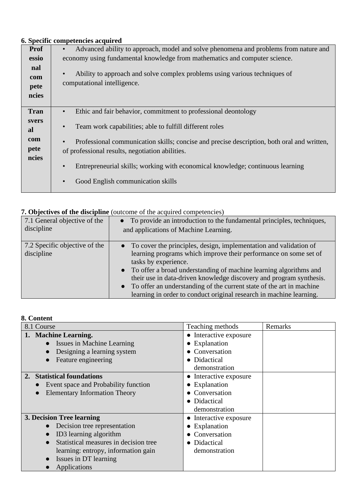## **6. Specific competencies acquired**

| <b>Prof</b>                 | Advanced ability to approach, model and solve phenomena and problems from nature and<br>$\bullet$                                             |  |  |  |  |
|-----------------------------|-----------------------------------------------------------------------------------------------------------------------------------------------|--|--|--|--|
| essio                       | economy using fundamental knowledge from mathematics and computer science.                                                                    |  |  |  |  |
| nal<br>com<br>pete<br>ncies | Ability to approach and solve complex problems using various techniques of<br>$\bullet$<br>computational intelligence.                        |  |  |  |  |
| <b>Tran</b>                 | Ethic and fair behavior, commitment to professional deontology<br>$\bullet$                                                                   |  |  |  |  |
| svers<br><b>al</b>          | Team work capabilities; able to fulfill different roles<br>$\bullet$                                                                          |  |  |  |  |
| com                         | Professional communication skills; concise and precise description, both oral and written,                                                    |  |  |  |  |
| pete                        | of professional results, negotiation abilities.                                                                                               |  |  |  |  |
| ncies                       | Entrepreneurial skills; working with economical knowledge; continuous learning<br>$\bullet$<br>Good English communication skills<br>$\bullet$ |  |  |  |  |

# **7. Objectives of the discipline** (outcome of the acquired competencies)

| 7.1 General objective of the<br>discipline  | • To provide an introduction to the fundamental principles, techniques,<br>and applications of Machine Learning.                                                                                                                                                                                                                                                                                                                                               |
|---------------------------------------------|----------------------------------------------------------------------------------------------------------------------------------------------------------------------------------------------------------------------------------------------------------------------------------------------------------------------------------------------------------------------------------------------------------------------------------------------------------------|
| 7.2 Specific objective of the<br>discipline | • To cover the principles, design, implementation and validation of<br>learning programs which improve their performance on some set of<br>tasks by experience.<br>• To offer a broad understanding of machine learning algorithms and<br>their use in data-driven knowledge discovery and program synthesis.<br>• To offer an understanding of the current state of the art in machine<br>learning in order to conduct original research in machine learning. |

## **8. Content**

| 8.1 Course                                         | Teaching methods       | Remarks |
|----------------------------------------------------|------------------------|---------|
| 1. Machine Learning.                               | • Interactive exposure |         |
| Issues in Machine Learning                         | • Explanation          |         |
| Designing a learning system                        | • Conversation         |         |
| Feature engineering                                | • Didactical           |         |
|                                                    | demonstration          |         |
| <b>Statistical foundations</b><br>2.               | • Interactive exposure |         |
| Event space and Probability function               | $\bullet$ Explanation  |         |
| <b>Elementary Information Theory</b>               | • Conversation         |         |
|                                                    | • Didactical           |         |
|                                                    | demonstration          |         |
| 3. Decision Tree learning                          | • Interactive exposure |         |
| Decision tree representation                       | • Explanation          |         |
| ID3 learning algorithm                             | Conversation           |         |
| Statistical measures in decision tree<br>$\bullet$ | • Didactical           |         |
| learning: entropy, information gain                | demonstration          |         |
| Issues in DT learning                              |                        |         |
| Applications                                       |                        |         |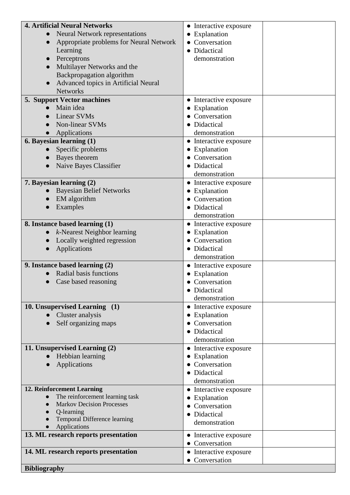| <b>4. Artificial Neural Networks</b>                                | • Interactive exposure         |
|---------------------------------------------------------------------|--------------------------------|
| <b>Neural Network representations</b><br>$\bullet$                  | • Explanation                  |
| Appropriate problems for Neural Network                             | • Conversation                 |
| Learning                                                            | • Didactical                   |
| Perceptrons                                                         | demonstration                  |
| Multilayer Networks and the                                         |                                |
| Backpropagation algorithm                                           |                                |
| Advanced topics in Artificial Neural                                |                                |
| <b>Networks</b>                                                     |                                |
| 5. Support Vector machines                                          | • Interactive exposure         |
| Main idea                                                           | • Explanation                  |
| <b>Linear SVMs</b>                                                  | • Conversation                 |
| Non-linear SVMs                                                     | • Didactical                   |
| Applications                                                        | demonstration                  |
| 6. Bayesian learning (1)                                            | • Interactive exposure         |
| Specific problems                                                   | • Explanation                  |
| Bayes theorem                                                       | • Conversation                 |
| Naive Bayes Classifier                                              | • Didactical                   |
|                                                                     | demonstration                  |
| 7. Bayesian learning (2)                                            | • Interactive exposure         |
| <b>Bayesian Belief Networks</b>                                     | • Explanation                  |
| EM algorithm                                                        | • Conversation                 |
| Examples                                                            | • Didactical                   |
|                                                                     | demonstration                  |
| 8. Instance based learning (1)                                      | • Interactive exposure         |
| $k$ -Nearest Neighbor learning                                      | • Explanation                  |
| Locally weighted regression                                         | • Conversation                 |
| Applications                                                        | • Didactical                   |
|                                                                     | demonstration                  |
| 9. Instance based learning (2)                                      | • Interactive exposure         |
| Radial basis functions                                              | • Explanation                  |
| Case based reasoning                                                | • Conversation                 |
|                                                                     | • Didactical                   |
|                                                                     | demonstration                  |
| 10. Unsupervised Learning (1)                                       | • Interactive exposure         |
| Cluster analysis                                                    | • Explanation                  |
| Self organizing maps                                                | • Conversation                 |
|                                                                     | • Didactical                   |
|                                                                     | demonstration                  |
| 11. Unsupervised Learning (2)                                       | • Interactive exposure         |
| Hebbian learning                                                    | • Explanation                  |
| Applications                                                        | • Conversation                 |
|                                                                     | • Didactical                   |
|                                                                     | demonstration                  |
| 12. Reinforcement Learning                                          | • Interactive exposure         |
| The reinforcement learning task<br><b>Markov Decision Processes</b> | • Explanation                  |
| Q-learning                                                          | • Conversation                 |
| Temporal Difference learning                                        | • Didactical                   |
| Applications                                                        | demonstration                  |
| 13. ML research reports presentation                                | • Interactive exposure         |
|                                                                     | • Conversation                 |
| 14. ML research reports presentation                                | $\bullet$ Interactive exposure |
|                                                                     | • Conversation                 |
| <b>Bibliography</b>                                                 |                                |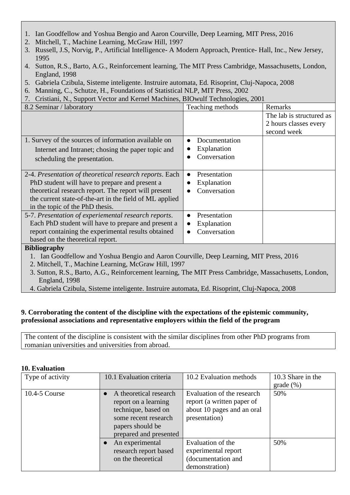- 1. Ian Goodfellow and Yoshua Bengio and Aaron Courville, Deep Learning, MIT Press, 2016
- 2. Mitchell, T., Machine Learning, McGraw Hill, 1997
- 3. Russell, J.S, Norvig, P., Artificial Intelligence- A Modern Approach, Prentice- Hall, Inc., New Jersey, 1995
- 4. Sutton, R.S., Barto, A.G., Reinforcement learning, The MIT Press Cambridge, Massachusetts, London, England, 1998
- 5. Gabriela Czibula, Sisteme inteligente. Instruire automata, Ed. Risoprint, Cluj-Napoca, 2008
- 6. Manning, C., Schutze, H., Foundations of Statistical NLP, MIT Press, 2002
- 7. Cristiani, N., Support Vector and Kernel Machines, BIOwulf Technologies, 2001

| 8.2 Seminar / laboratory                                                                                                                                                                                                                                        | Teaching methods                                         | Remarks                                                          |
|-----------------------------------------------------------------------------------------------------------------------------------------------------------------------------------------------------------------------------------------------------------------|----------------------------------------------------------|------------------------------------------------------------------|
|                                                                                                                                                                                                                                                                 |                                                          | The lab is structured as<br>2 hours classes every<br>second week |
| 1. Survey of the sources of information available on<br>Internet and Intranet; chosing the paper topic and<br>scheduling the presentation.                                                                                                                      | Documentation<br>Explanation<br>Conversation             |                                                                  |
| 2-4. Presentation of theoretical research reports. Each<br>PhD student will have to prepare and present a<br>theoretical research report. The report will present<br>the current state-of-the-art in the field of ML applied<br>in the topic of the PhD thesis. | Presentation<br>$\bullet$<br>Explanation<br>Conversation |                                                                  |
| 5-7. Presentation of experiemental research reports.<br>Each PhD student will have to prepare and present a<br>report containing the experimental results obtained<br>based on the theoretical report.                                                          | Presentation<br>Explanation<br>Conversation              |                                                                  |

#### **Bibliography**

1. Ian Goodfellow and Yoshua Bengio and Aaron Courville, Deep Learning, MIT Press, 2016

2. Mitchell, T., Machine Learning, McGraw Hill, 1997

- 3. Sutton, R.S., Barto, A.G., Reinforcement learning, The MIT Press Cambridge, Massachusetts, London, England, 1998
- 4. Gabriela Czibula, Sisteme inteligente. Instruire automata, Ed. Risoprint, Cluj-Napoca, 2008

## **9. Corroborating the content of the discipline with the expectations of the epistemic community, professional associations and representative employers within the field of the program**

The content of the discipline is consistent with the similar disciplines from other PhD programs from romanian universities and universities from abroad.

| Type of activity  | 10.1 Evaluation criteria | 10.2 Evaluation methods    | 10.3 Share in the |
|-------------------|--------------------------|----------------------------|-------------------|
|                   |                          |                            | grade (%)         |
| $10.4 - 5$ Course | A theoretical research   | Evaluation of the research | 50%               |
|                   | report on a learning     | report (a written paper of |                   |
|                   | technique, based on      | about 10 pages and an oral |                   |
|                   | some recent research     | presentation)              |                   |
|                   | papers should be         |                            |                   |
|                   | prepared and presented   |                            |                   |
|                   | An experimental          | Evaluation of the          | 50%               |
|                   | research report based    | experimental report        |                   |
|                   | on the theoretical       | (documentation and         |                   |
|                   |                          | demonstration)             |                   |